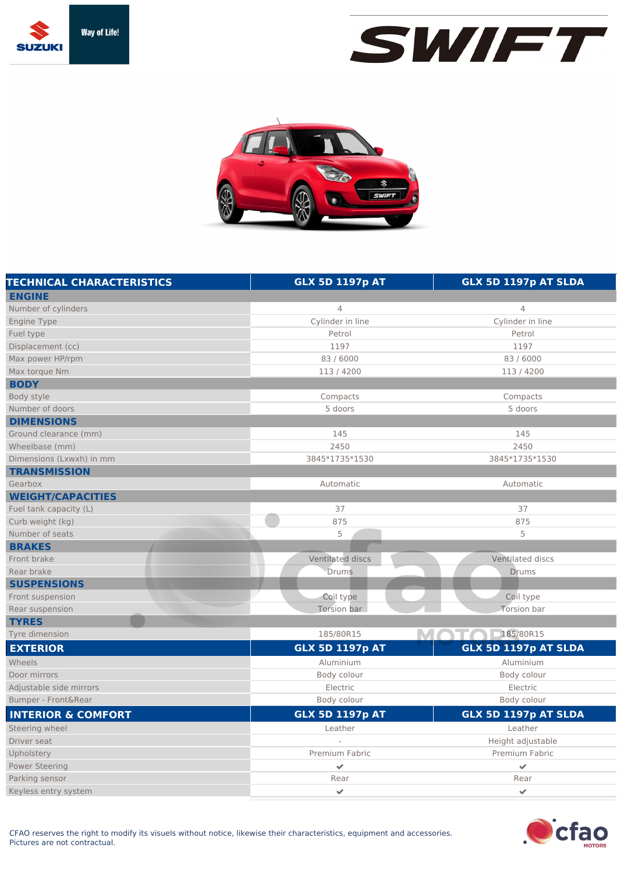





| <b>TECHNICAL CHARACTERISTICS</b> | <b>GLX 5D 1197p AT</b>  | GLX 5D 1197p AT SLDA |
|----------------------------------|-------------------------|----------------------|
| <b>ENGINE</b>                    |                         |                      |
| Number of cylinders              | 4                       | 4                    |
| Engine Type                      | Cylinder in line        | Cylinder in line     |
| Fuel type                        | Petrol                  | Petrol               |
| Displacement (cc)                | 1197                    | 1197                 |
| Max power HP/rpm                 | 83/6000                 | 83 / 6000            |
| Max torque Nm                    | 113/4200                | 113/4200             |
| <b>BODY</b>                      |                         |                      |
| Body style                       | Compacts                | Compacts             |
| Number of doors                  | 5 doors                 | 5 doors              |
| <b>DIMENSIONS</b>                |                         |                      |
| Ground clearance (mm)            | 145                     | 145                  |
| Wheelbase (mm)                   | 2450                    | 2450                 |
| Dimensions (Lxwxh) in mm         | 3845*1735*1530          | 3845*1735*1530       |
| <b>TRANSMISSION</b>              |                         |                      |
| Gearbox                          | Automatic               | Automatic            |
| <b>WEIGHT/CAPACITIES</b>         |                         |                      |
| Fuel tank capacity (L)           | 37                      | 37                   |
| Curb weight (kg)                 | 875                     | 875                  |
| Number of seats                  | 5                       | 5                    |
| <b>BRAKES</b>                    |                         |                      |
| Front brake                      | Ventilated discs        | Ventilated discs     |
| Rear brake                       | Drums                   | <b>Drums</b>         |
| <b>SUSPENSIONS</b>               |                         |                      |
| Front suspension                 | Coil type               | Coil type            |
| Rear suspension                  | Torsion bar             | <b>Torsion bar</b>   |
| <b>TYRES</b>                     |                         |                      |
| Tyre dimension                   | 185/80R15               | 185/80R15            |
| <b>EXTERIOR</b>                  | <b>GLX 5D 1197p AT</b>  | GLX 5D 1197p AT SLDA |
| Wheels                           | Aluminium               | Aluminium            |
| Door mirrors                     | Body colour             | Body colour          |
| Adjustable side mirrors          | Electric                | Electric             |
| Bumper - Front&Rear              | Body colour             | Body colour          |
| <b>INTERIOR &amp; COMFORT</b>    | <b>GLX 5D 1197p AT</b>  | GLX 5D 1197p AT SLDA |
| Steering wheel                   | Leather                 | Leather              |
| Driver seat                      | $\overline{a}$          | Height adjustable    |
| Upholstery                       | Premium Fabric          | Premium Fabric       |
| <b>Power Steering</b>            | $\checkmark$            | $\checkmark$         |
| Parking sensor                   | Rear                    | Rear                 |
| Keyless entry system             | $\overline{\mathbf{v}}$ | $\checkmark$         |